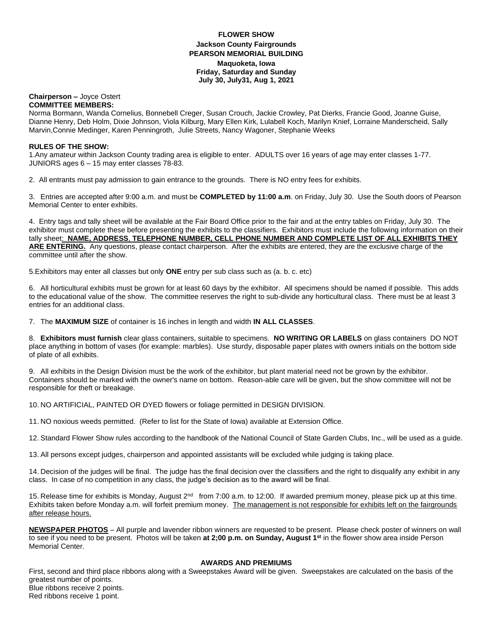### **FLOWER SHOW Jackson County Fairgrounds PEARSON MEMORIAL BUILDING Maquoketa, Iowa Friday, Saturday and Sunday July 30, July31, Aug 1, 2021**

#### **Chairperson –** Joyce Ostert **COMMITTEE MEMBERS:**

Norma Bormann, Wanda Cornelius, Bonnebell Creger, Susan Crouch, Jackie Crowley, Pat Dierks, Francie Good, Joanne Guise, Dianne Henry, Deb Holm, Dixie Johnson, Viola Kilburg, Mary Ellen Kirk, Lulabell Koch, Marilyn Knief, Lorraine Manderscheid, Sally Marvin,Connie Medinger, Karen Penningroth, Julie Streets, Nancy Wagoner, Stephanie Weeks

## **RULES OF THE SHOW:**

1.Any amateur within Jackson County trading area is eligible to enter. ADULTS over 16 years of age may enter classes 1-77. JUNIORS ages 6 – 15 may enter classes 78-83.

2. All entrants must pay admission to gain entrance to the grounds. There is NO entry fees for exhibits.

3. Entries are accepted after 9:00 a.m. and must be **COMPLETED by 11:00 a.m**. on Friday, July 30. Use the South doors of Pearson Memorial Center to enter exhibits.

4. Entry tags and tally sheet will be available at the Fair Board Office prior to the fair and at the entry tables on Friday, July 30. The exhibitor must complete these before presenting the exhibits to the classifiers. Exhibitors must include the following information on their tally sheet: **NAME, ADDRESS**, **TELEPHONE NUMBER, CELL PHONE NUMBER AND COMPLETE LIST OF ALL EXHIBITS THEY ARE ENTERING.** Any questions, please contact chairperson. After the exhibits are entered, they are the exclusive charge of the committee until after the show.

5.Exhibitors may enter all classes but only **ONE** entry per sub class such as (a. b. c. etc)

6. All horticultural exhibits must be grown for at least 60 days by the exhibitor. All specimens should be named if possible. This adds to the educational value of the show. The committee reserves the right to sub-divide any horticultural class. There must be at least 3 entries for an additional class.

7. The **MAXIMUM SIZE** of container is 16 inches in length and width **IN ALL CLASSES**.

8. **Exhibitors must furnish** clear glass containers, suitable to specimens. **NO WRITING OR LABELS** on glass containers DO NOT place anything in bottom of vases (for example: marbles). Use sturdy, disposable paper plates with owners initials on the bottom side of plate of all exhibits.

9. All exhibits in the Design Division must be the work of the exhibitor, but plant material need not be grown by the exhibitor. Containers should be marked with the owner's name on bottom. Reason-able care will be given, but the show committee will not be responsible for theft or breakage.

10. NO ARTIFICIAL, PAINTED OR DYED flowers or foliage permitted in DESIGN DIVISION.

11. NO noxious weeds permitted. (Refer to list for the State of Iowa) available at Extension Office.

12. Standard Flower Show rules according to the handbook of the National Council of State Garden Clubs, Inc., will be used as a guide.

13. All persons except judges, chairperson and appointed assistants will be excluded while judging is taking place.

14. Decision of the judges will be final. The judge has the final decision over the classifiers and the right to disqualify any exhibit in any class. In case of no competition in any class, the judge's decision as to the award will be final.

15. Release time for exhibits is Monday, August 2<sup>nd</sup> from 7:00 a.m. to 12:00. If awarded premium money, please pick up at this time. Exhibits taken before Monday a.m. will forfeit premium money. The management is not responsible for exhibits left on the fairgrounds after release hours.

**NEWSPAPER PHOTOS** – All purple and lavender ribbon winners are requested to be present. Please check poster of winners on wall to see if you need to be present. Photos will be taken **at 2;00 p.m. on Sunday, August 1st** in the flower show area inside Person Memorial Center.

### **AWARDS AND PREMIUMS**

First, second and third place ribbons along with a Sweepstakes Award will be given. Sweepstakes are calculated on the basis of the greatest number of points. Blue ribbons receive 2 points. Red ribbons receive 1 point.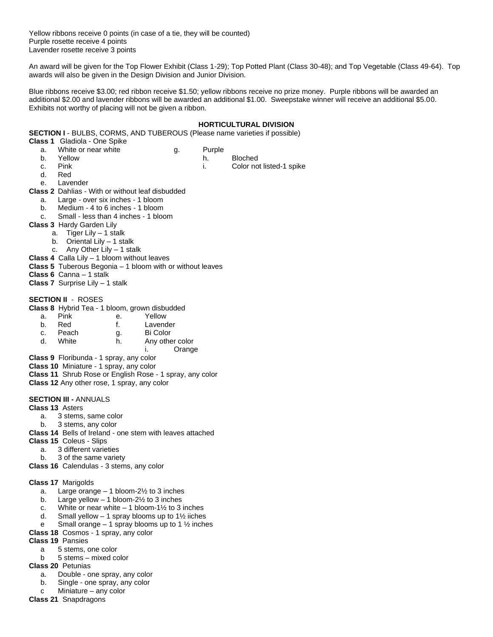Yellow ribbons receive 0 points (in case of a tie, they will be counted) Purple rosette receive 4 points Lavender rosette receive 3 points

An award will be given for the Top Flower Exhibit (Class 1-29); Top Potted Plant (Class 30-48); and Top Vegetable (Class 49-64). Top awards will also be given in the Design Division and Junior Division.

Blue ribbons receive \$3.00; red ribbon receive \$1.50; yellow ribbons receive no prize money. Purple ribbons will be awarded an additional \$2.00 and lavender ribbons will be awarded an additional \$1.00. Sweepstake winner will receive an additional \$5.00. Exhibits not worthy of placing will not be given a ribbon.

#### **HORTICULTURAL DIVISION**

**SECTION I** - BULBS, CORMS, AND TUBEROUS (Please name varieties if possible)

| <b>Class 1</b> Gladiola - One Spike |        |
|-------------------------------------|--------|
| White or near white                 | Purple |

- 
- b. Yellow h. Bloched
	-
- c. Pink i. Color not listed-1 spike
- d. Red
- e. Lavender

**Class 2** Dahlias - With or without leaf disbudded

- a. Large over six inches 1 bloom
- b. Medium 4 to 6 inches 1 bloom
- c. Small less than 4 inches 1 bloom
- **Class 3** Hardy Garden Lily
	- a. Tiger Lily 1 stalk
		- b. Oriental Lily 1 stalk
	- c. Any Other Lily 1 stalk
- **Class 4** Calla Lily 1 bloom without leaves
- **Class 5** Tuberous Begonia 1 bloom with or without leaves
- **Class 6** Canna 1 stalk
- **Class 7** Surprise Lily 1 stalk

### **SECTION II** - ROSES

- **Class 8** Hybrid Tea 1 bloom, grown disbudded
	- a. Pink e. Yellow<br>b. Red f. Lavenc b. Red f. Lavender c. Peach g. Bi Color d. White h. Any other color

i. Orange

- **Class 9** Floribunda 1 spray, any color
- **Class 10** Miniature 1 spray, any color
- **Class 11** Shrub Rose or English Rose 1 spray, any color
- **Class 12** Any other rose, 1 spray, any color

### **SECTION III -** ANNUALS

- **Class 13** Asters
	- a. 3 stems, same color
	- b. 3 stems, any color
- **Class 14** Bells of Ireland one stem with leaves attached
- **Class 15** Coleus Slips
	- a. 3 different varieties
	- b. 3 of the same variety

**Class 16** Calendulas - 3 stems, any color

### **Class 17** Marigolds

- a. Large orange 1 bloom-2½ to 3 inches
- b. Large yellow  $-1$  bloom-2 $\frac{1}{2}$  to 3 inches
- c. White or near white  $-1$  bloom-1½ to 3 inches
- d. Small yellow 1 spray blooms up to  $1\frac{1}{2}$  iiches
- e Small orange 1 spray blooms up to 1  $\frac{1}{2}$  inches
- **Class 18** Cosmos 1 spray, any color
- **Class 19** Pansies
	- a 5 stems, one color
	- b 5 stems mixed color
- **Class 20** Petunias
	- a. Double one spray, any color
	- b. Single one spray, any color
	- c Miniature any color
- **Class 21** Snapdragons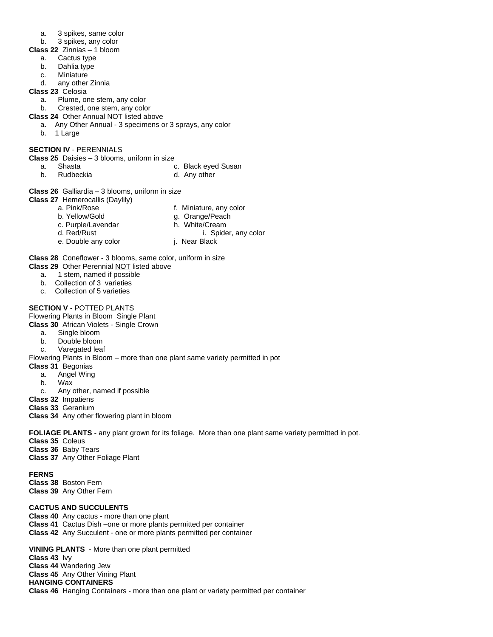- a. 3 spikes, same color
- b. 3 spikes, any color
- **Class 22** Zinnias 1 bloom
	- a. Cactus type
	- b. Dahlia type
	- c. Miniature
	- d. any other Zinnia
- **Class 23** Celosia
	- a. Plume, one stem, any color
	- b. Crested, one stem, any color
- **Class 24** Other Annual NOT listed above
	- a. Any Other Annual 3 specimens or 3 sprays, any color
	- b. 1 Large

### **SECTION IV** - PERENNIALS

**Class 25** Daisies – 3 blooms, uniform in size

- a. Shasta c. Black eyed Susan
	-
- b. Rudbeckia d. Any other
- **Class 26** Galliardia 3 blooms, uniform in size
- **Class 27** Hemerocallis (Daylily)

| a. Pink/Rose       | f. Miniature, any color       |
|--------------------|-------------------------------|
| b. Yellow/Gold     | g. Orange/Peach               |
| c. Purple/Lavendar | h. White/Cream                |
| d. Red/Rust        | i. Spider, any color          |
|                    | $\mathbf{1}$ and $\mathbf{1}$ |

e. Double any color **j.** Near Black

**Class 28** Coneflower - 3 blooms, same color, uniform in size

**Class 29** Other Perennial NOT listed above

- a. 1 stem, named if possible
- b. Collection of 3 varieties
- c. Collection of 5 varieties

### **SECTION V** - POTTED PLANTS

Flowering Plants in Bloom Single Plant

**Class 30** African Violets - Single Crown

- a. Single bloom
- b. Double bloom
- c. Varegated leaf

Flowering Plants in Bloom – more than one plant same variety permitted in pot

- **Class 31** Begonias
	- a. Angel Wing
	- b. Wax
	- c. Any other, named if possible

**Class 32** Impatiens

**Class 33** Geranium

**Class 34** Any other flowering plant in bloom

**FOLIAGE PLANTS** - any plant grown for its foliage. More than one plant same variety permitted in pot.

**Class 35** Coleus

**Class 36** Baby Tears

**Class 37** Any Other Foliage Plant

**FERNS Class 38** Boston Fern

**Class 39** Any Other Fern

### **CACTUS AND SUCCULENTS**

- **Class 40** Any cactus more than one plant
- **Class 41** Cactus Dish –one or more plants permitted per container
- **Class 42** Any Succulent one or more plants permitted per container

**VINING PLANTS** - More than one plant permitted **Class 43** Ivy **Class 44** Wandering Jew **Class 45** Any Other Vining Plant **HANGING CONTAINERS Class 46** Hanging Containers - more than one plant or variety permitted per container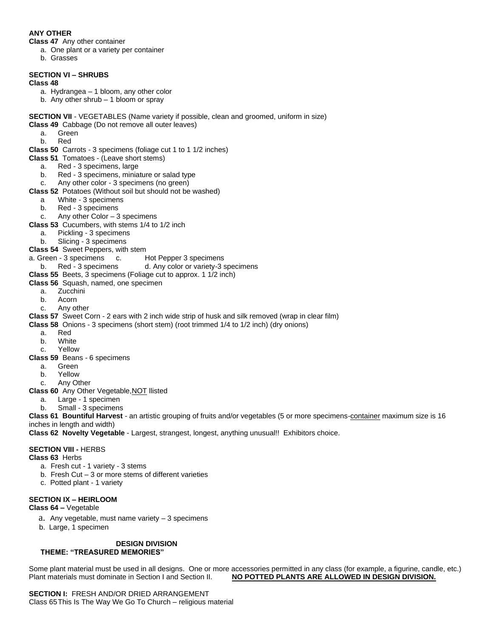## **ANY OTHER**

**Class 47** Any other container

- a. One plant or a variety per container
- b. Grasses

# **SECTION VI – SHRUBS**

# **Class 48**

- a. Hydrangea 1 bloom, any other color
- b. Any other shrub 1 bloom or spray
- **SECTION VII** VEGETABLES (Name variety if possible, clean and groomed, uniform in size) **Class 49** Cabbage (Do not remove all outer leaves)
	- a. Green
	- b. Red
- **Class 50** Carrots 3 specimens (foliage cut 1 to 1 1/2 inches)
- **Class 51** Tomatoes (Leave short stems)
	- a. Red 3 specimens, large
	- b. Red 3 specimens, miniature or salad type
	- c. Any other color 3 specimens (no green)
- **Class 52** Potatoes (Without soil but should not be washed)
	- a White 3 specimens
	- b. Red 3 specimens
	- c. Any other Color 3 specimens
- **Class 53** Cucumbers, with stems 1/4 to 1/2 inch
- a. Pickling 3 specimens
	- b. Slicing 3 specimens
- **Class 54** Sweet Peppers, with stem
- a. Green 3 specimens c. Hot Pepper 3 specimens
- b. Red 3 specimens d. Any color or variety-3 specimens
- **Class 55** Beets, 3 specimens (Foliage cut to approx. 1 1/2 inch)

### **Class 56** Squash, named, one specimen

- a. Zucchini
- b. Acorn
- c. Any other
- **Class 57** Sweet Corn 2 ears with 2 inch wide strip of husk and silk removed (wrap in clear film)
- **Class 58** Onions 3 specimens (short stem) (root trimmed 1/4 to 1/2 inch) (dry onions)
	- a. Red
	- b. White
	- c. Yellow
- **Class 59** Beans 6 specimens
	- a. Green
	- b. Yellow
	- c. Any Other

**Class 60** Any Other Vegetable,NOT llisted

- a. Large 1 specimen
- b. Small 3 specimens

**Class 61 Bountiful Harvest** - an artistic grouping of fruits and/or vegetables (5 or more specimens-container maximum size is 16 inches in length and width)

**Class 62 Novelty Vegetable** - Largest, strangest, longest, anything unusual!! Exhibitors choice.

### **SECTION VIII -** HERBS

**Class 63** Herbs

- a. Fresh cut 1 variety 3 stems
- b. Fresh Cut 3 or more stems of different varieties
- c. Potted plant 1 variety

### **SECTION IX – HEIRLOOM**

**Class 64 –** Vegetable

- a. Any vegetable, must name variety 3 specimens
- b. Large, 1 specimen

### **DESIGN DIVISION THEME: "TREASURED MEMORIES"**

Some plant material must be used in all designs. One or more accessories permitted in any class (for example, a figurine, candle, etc.) Plant materials must dominate in Section I and Section II. **NO POTTED PLANTS ARE ALLOWED IN DESIGN DIVISION.**